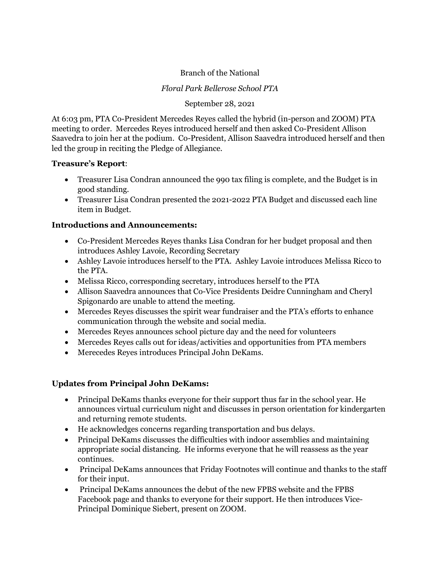# Branch of the National

# *Floral Park Bellerose School PTA*

#### September 28, 2021

At 6:03 pm, PTA Co-President Mercedes Reyes called the hybrid (in-person and ZOOM) PTA meeting to order. Mercedes Reyes introduced herself and then asked Co-President Allison Saavedra to join her at the podium. Co-President, Allison Saavedra introduced herself and then led the group in reciting the Pledge of Allegiance.

# **Treasure's Report**:

- Treasurer Lisa Condran announced the 990 tax filing is complete, and the Budget is in good standing.
- Treasurer Lisa Condran presented the 2021-2022 PTA Budget and discussed each line item in Budget.

# **Introductions and Announcements:**

- Co-President Mercedes Reyes thanks Lisa Condran for her budget proposal and then introduces Ashley Lavoie, Recording Secretary
- Ashley Lavoie introduces herself to the PTA. Ashley Lavoie introduces Melissa Ricco to the PTA.
- Melissa Ricco, corresponding secretary, introduces herself to the PTA
- Allison Saavedra announces that Co-Vice Presidents Deidre Cunningham and Cheryl Spigonardo are unable to attend the meeting.
- Mercedes Reyes discusses the spirit wear fundraiser and the PTA's efforts to enhance communication through the website and social media.
- Mercedes Reyes announces school picture day and the need for volunteers
- Mercedes Reyes calls out for ideas/activities and opportunities from PTA members
- Merecedes Reyes introduces Principal John DeKams.

# **Updates from Principal John DeKams:**

- Principal DeKams thanks everyone for their support thus far in the school year. He announces virtual curriculum night and discusses in person orientation for kindergarten and returning remote students.
- He acknowledges concerns regarding transportation and bus delays.
- Principal DeKams discusses the difficulties with indoor assemblies and maintaining appropriate social distancing. He informs everyone that he will reassess as the year continues.
- Principal DeKams announces that Friday Footnotes will continue and thanks to the staff for their input.
- Principal DeKams announces the debut of the new FPBS website and the FPBS Facebook page and thanks to everyone for their support. He then introduces Vice-Principal Dominique Siebert, present on ZOOM.